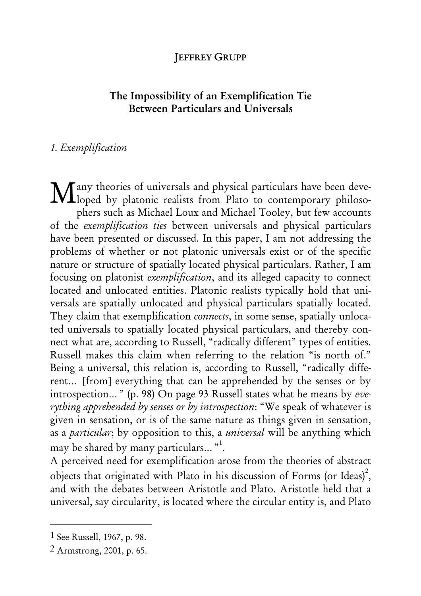#### **JEFFREY GRUPP**

# The Impossibility of an Exemplification Tie Between Particulars and Universals

### 1. Exemplification

any theories of universals and physical particulars have been deve-Many theories of universals and physical particulars have been deve-<br>Moped by platonic realists from Plato to contemporary philosophers such as Michael Loux and Michael Tooley, but few accounts of the exemplification ties between universals and physical particulars have been presented or discussed. In this paper, I am not addressing the problems of whether or not platonic universals exist or of the specific nature or structure of spatially located physical particulars. Rather, I am focusing on platonist exemplification, and its alleged capacity to connect located and unlocated entities. Platonic realists typically hold that universals are spatially unlocated and physical particulars spatially located. They claim that exemplification *connects*, in some sense, spatially unlocated universals to spatially located physical particulars, and thereby connect what are, according to Russell, "radically different" types of entities. Russell makes this claim when referring to the relation "is north of." Being a universal, this relation is, according to Russell, "radically different… [from] everything that can be apprehended by the senses or by introspection… " (p. 98) On page 93 Russell states what he means by everything apprehended by senses or by introspection: "We speak of whatever is given in sensation, or is of the same nature as things given in sensation, as a *particular*; by opposition to this, a *universal* will be anything which may be shared by many particulars...  $"\cdot^1$ .

A perceived need for exemplification arose from the theories of abstract objects that originated with Plato in his discussion of Forms (or Ideas)<sup>2</sup>, and with the debates between Aristotle and Plato. Aristotle held that a universal, say circularity, is located where the circular entity is, and Plato

<sup>1</sup> See Russell, 1967, p. 98.

<sup>2</sup> Armstrong, 2001, p. 65.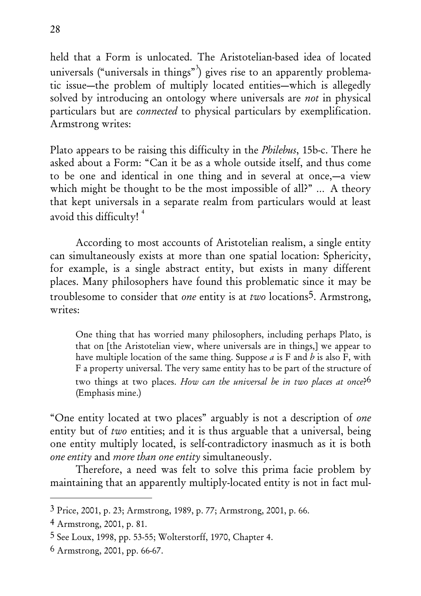held that a Form is unlocated. The Aristotelian-based idea of located universals ("universals in things"<sup>3</sup>) gives rise to an apparently problematic issue—the problem of multiply located entities—which is allegedly solved by introducing an ontology where universals are *not* in physical particulars but are connected to physical particulars by exemplification. Armstrong writes:

Plato appears to be raising this difficulty in the Philebus, 15b-c. There he asked about a Form: "Can it be as a whole outside itself, and thus come to be one and identical in one thing and in several at once,—a view which might be thought to be the most impossible of all?" ... A theory that kept universals in a separate realm from particulars would at least avoid this difficulty!<sup>4</sup>

According to most accounts of Aristotelian realism, a single entity can simultaneously exists at more than one spatial location: Sphericity, for example, is a single abstract entity, but exists in many different places. Many philosophers have found this problematic since it may be troublesome to consider that one entity is at two locations<sup>5</sup>. Armstrong, writes:

One thing that has worried many philosophers, including perhaps Plato, is that on [the Aristotelian view, where universals are in things,] we appear to have multiple location of the same thing. Suppose  $a$  is F and  $b$  is also F, with F a property universal. The very same entity has to be part of the structure of two things at two places. How can the universal be in two places at once?<sup>6</sup> (Emphasis mine.)

"One entity located at two places" arguably is not a description of one entity but of two entities; and it is thus arguable that a universal, being one entity multiply located, is self-contradictory inasmuch as it is both one entity and more than one entity simultaneously.

Therefore, a need was felt to solve this prima facie problem by maintaining that an apparently multiply-located entity is not in fact mul-

<sup>3</sup> Price, 2001, p. 23; Armstrong, 1989, p. 77; Armstrong, 2001, p. 66.

<sup>4</sup> Armstrong, 2001, p. 81.

<sup>5</sup> See Loux, 1998, pp. 53-55; Wolterstorff, 1970, Chapter 4.

<sup>6</sup> Armstrong, 2001, pp. 66-67.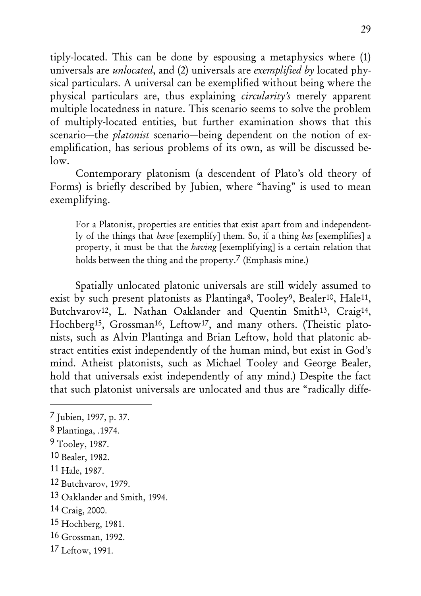tiply-located. This can be done by espousing a metaphysics where (1) universals are unlocated, and (2) universals are exemplified by located physical particulars. A universal can be exemplified without being where the physical particulars are, thus explaining circularity's merely apparent multiple locatedness in nature. This scenario seems to solve the problem of multiply-located entities, but further examination shows that this scenario—the platonist scenario—being dependent on the notion of exemplification, has serious problems of its own, as will be discussed be- $\log$ 

Contemporary platonism (a descendent of Plato's old theory of Forms) is briefly described by Jubien, where "having" is used to mean exemplifying.

For a Platonist, properties are entities that exist apart from and independently of the things that have [exemplify] them. So, if a thing has [exemplifies] a property, it must be that the having [exemplifying] is a certain relation that holds between the thing and the property.<sup>7</sup> (Emphasis mine.)

Spatially unlocated platonic universals are still widely assumed to exist by such present platonists as Plantinga<sup>8</sup>, Tooley<sup>9</sup>, Bealer<sup>10</sup>, Hale<sup>11</sup>, Butchvarov<sup>12</sup>, L. Nathan Oaklander and Quentin Smith<sup>13</sup>, Craig<sup>14</sup>, Hochberg<sup>15</sup>, Grossman<sup>16</sup>, Leftow<sup>17</sup>, and many others. (Theistic platonists, such as Alvin Plantinga and Brian Leftow, hold that platonic abstract entities exist independently of the human mind, but exist in God's mind. Atheist platonists, such as Michael Tooley and George Bealer, hold that universals exist independently of any mind.) Despite the fact that such platonist universals are unlocated and thus are "radically diffe-

- 15 Hochberg, 1981.
- 16 Grossman, 1992.
- 17 Leftow, 1991.

<sup>7</sup> Jubien, 1997, p. 37.

<sup>8</sup> Plantinga, .1974.

<sup>9</sup> Tooley, 1987.

<sup>10</sup> Bealer, 1982.

<sup>11</sup> Hale, 1987.

<sup>12</sup> Butchvarov, 1979.

<sup>13</sup> Oaklander and Smith, 1994.

<sup>14</sup> Craig, 2000.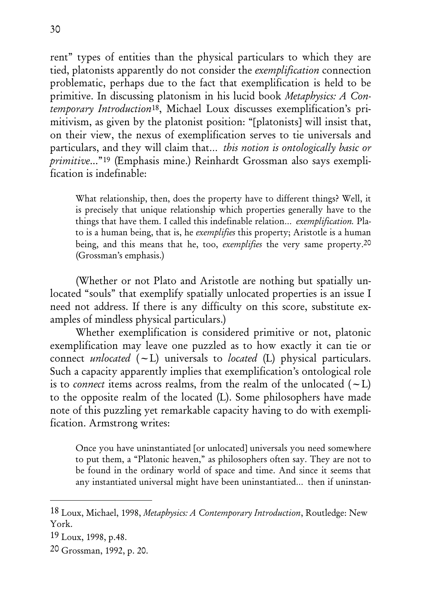rent" types of entities than the physical particulars to which they are tied, platonists apparently do not consider the exemplification connection problematic, perhaps due to the fact that exemplification is held to be primitive. In discussing platonism in his lucid book Metaphysics: A Contemporary Introduction18, Michael Loux discusses exemplification's primitivism, as given by the platonist position: "[platonists] will insist that, on their view, the nexus of exemplification serves to tie universals and particulars, and they will claim that… this notion is ontologically basic or primitive..."19 (Emphasis mine.) Reinhardt Grossman also says exemplification is indefinable:

What relationship, then, does the property have to different things? Well, it is precisely that unique relationship which properties generally have to the things that have them. I called this indefinable relation… exemplification. Plato is a human being, that is, he exemplifies this property; Aristotle is a human being, and this means that he, too, *exemplifies* the very same property.<sup>20</sup> (Grossman's emphasis.)

(Whether or not Plato and Aristotle are nothing but spatially unlocated "souls" that exemplify spatially unlocated properties is an issue I need not address. If there is any difficulty on this score, substitute examples of mindless physical particulars.)

Whether exemplification is considered primitive or not, platonic exemplification may leave one puzzled as to how exactly it can tie or connect *unlocated*  $(-L)$  universals to *located* (L) physical particulars. Such a capacity apparently implies that exemplification's ontological role is to *connect* items across realms, from the realm of the unlocated  $(-L)$ to the opposite realm of the located (L). Some philosophers have made note of this puzzling yet remarkable capacity having to do with exemplification. Armstrong writes:

Once you have uninstantiated [or unlocated] universals you need somewhere to put them, a "Platonic heaven," as philosophers often say. They are not to be found in the ordinary world of space and time. And since it seems that any instantiated universal might have been uninstantiated… then if uninstan-

<sup>18</sup> Loux, Michael, 1998, Metaphysics: A Contemporary Introduction, Routledge: New York.

<sup>19</sup> Loux, 1998, p.48.

<sup>20</sup> Grossman, 1992, p. 20.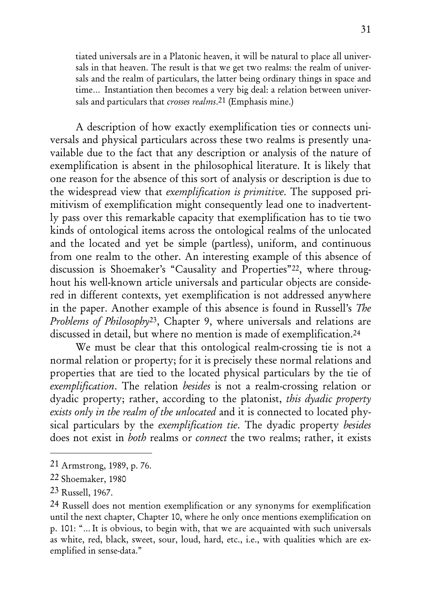tiated universals are in a Platonic heaven, it will be natural to place all universals in that heaven. The result is that we get two realms: the realm of universals and the realm of particulars, the latter being ordinary things in space and time… Instantiation then becomes a very big deal: a relation between universals and particulars that *crosses realms*.<sup>21</sup> (Emphasis mine.)

A description of how exactly exemplification ties or connects universals and physical particulars across these two realms is presently unavailable due to the fact that any description or analysis of the nature of exemplification is absent in the philosophical literature. It is likely that one reason for the absence of this sort of analysis or description is due to the widespread view that exemplification is primitive. The supposed primitivism of exemplification might consequently lead one to inadvertently pass over this remarkable capacity that exemplification has to tie two kinds of ontological items across the ontological realms of the unlocated and the located and yet be simple (partless), uniform, and continuous from one realm to the other. An interesting example of this absence of discussion is Shoemaker's "Causality and Properties"22, where throughout his well-known article universals and particular objects are considered in different contexts, yet exemplification is not addressed anywhere in the paper. Another example of this absence is found in Russell's The Problems of Philosophy<sup>23</sup>, Chapter 9, where universals and relations are discussed in detail, but where no mention is made of exemplification.24

We must be clear that this ontological realm-crossing tie is not a normal relation or property; for it is precisely these normal relations and properties that are tied to the located physical particulars by the tie of exemplification. The relation besides is not a realm-crossing relation or dyadic property; rather, according to the platonist, this dyadic property exists only in the realm of the unlocated and it is connected to located physical particulars by the exemplification tie. The dyadic property besides does not exist in *both* realms or *connect* the two realms; rather, it exists

<sup>21</sup> Armstrong, 1989, p. 76.

<sup>22</sup> Shoemaker, 1980

<sup>23</sup> Russell, 1967.

<sup>24</sup> Russell does not mention exemplification or any synonyms for exemplification until the next chapter, Chapter 10, where he only once mentions exemplification on p. 101: "… It is obvious, to begin with, that we are acquainted with such universals as white, red, black, sweet, sour, loud, hard, etc., i.e., with qualities which are exemplified in sense-data."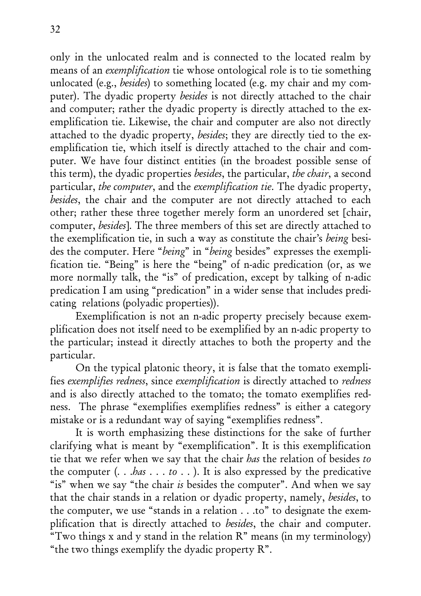only in the unlocated realm and is connected to the located realm by means of an exemplification tie whose ontological role is to tie something unlocated (e.g., besides) to something located (e.g. my chair and my computer). The dyadic property besides is not directly attached to the chair and computer; rather the dyadic property is directly attached to the exemplification tie. Likewise, the chair and computer are also not directly attached to the dyadic property, besides; they are directly tied to the exemplification tie, which itself is directly attached to the chair and computer. We have four distinct entities (in the broadest possible sense of this term), the dyadic properties besides, the particular, the chair, a second particular, the computer, and the exemplification tie. The dyadic property, besides, the chair and the computer are not directly attached to each other; rather these three together merely form an unordered set [chair, computer, besides]. The three members of this set are directly attached to the exemplification tie, in such a way as constitute the chair's being besides the computer. Here "being" in "being besides" expresses the exemplification tie. "Being" is here the "being" of n-adic predication (or, as we more normally talk, the "is" of predication, except by talking of n-adic predication I am using "predication" in a wider sense that includes predicating relations (polyadic properties)).

Exemplification is not an n-adic property precisely because exemplification does not itself need to be exemplified by an n-adic property to the particular; instead it directly attaches to both the property and the particular.

On the typical platonic theory, it is false that the tomato exemplifies exemplifies redness, since exemplification is directly attached to redness and is also directly attached to the tomato; the tomato exemplifies redness. The phrase "exemplifies exemplifies redness" is either a category mistake or is a redundant way of saying "exemplifies redness".

It is worth emphasizing these distinctions for the sake of further clarifying what is meant by "exemplification". It is this exemplification tie that we refer when we say that the chair has the relation of besides to the computer (. . .has . . . to . . ). It is also expressed by the predicative "is" when we say "the chair is besides the computer". And when we say that the chair stands in a relation or dyadic property, namely, besides, to the computer, we use "stands in a relation . . .to" to designate the exemplification that is directly attached to besides, the chair and computer. "Two things x and y stand in the relation R" means (in my terminology) "the two things exemplify the dyadic property R".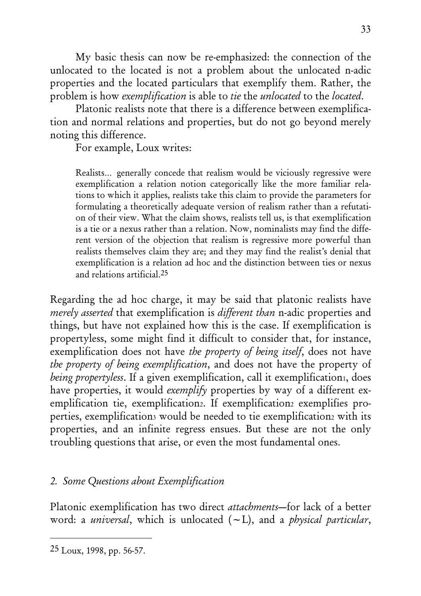My basic thesis can now be re-emphasized: the connection of the unlocated to the located is not a problem about the unlocated n-adic properties and the located particulars that exemplify them. Rather, the problem is how exemplification is able to tie the unlocated to the located.

Platonic realists note that there is a difference between exemplification and normal relations and properties, but do not go beyond merely noting this difference.

For example, Loux writes:

Realists… generally concede that realism would be viciously regressive were exemplification a relation notion categorically like the more familiar relations to which it applies, realists take this claim to provide the parameters for formulating a theoretically adequate version of realism rather than a refutation of their view. What the claim shows, realists tell us, is that exemplification is a tie or a nexus rather than a relation. Now, nominalists may find the different version of the objection that realism is regressive more powerful than realists themselves claim they are; and they may find the realist's denial that exemplification is a relation ad hoc and the distinction between ties or nexus and relations artificial.25

Regarding the ad hoc charge, it may be said that platonic realists have merely asserted that exemplification is different than n-adic properties and things, but have not explained how this is the case. If exemplification is propertyless, some might find it difficult to consider that, for instance, exemplification does not have the property of being itself, does not have the property of being exemplification, and does not have the property of being propertyless. If a given exemplification, call it exemplification, does have properties, it would *exemplify* properties by way of a different exemplification tie, exemplification<sub>2</sub>. If exemplification<sub>2</sub> exemplifies properties, exemplification<sub>3</sub> would be needed to tie exemplification<sub>2</sub> with its properties, and an infinite regress ensues. But these are not the only troubling questions that arise, or even the most fundamental ones.

# 2. Some Questions about Exemplification

Platonic exemplification has two direct attachments-for lack of a better word: a *universal*, which is unlocated  $(-L)$ , and a *physical particular*,

<sup>25</sup> Loux, 1998, pp. 56-57.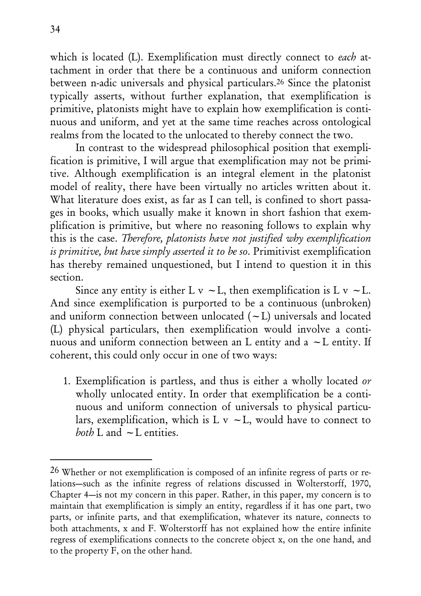which is located (L). Exemplification must directly connect to each attachment in order that there be a continuous and uniform connection between n-adic universals and physical particulars.26 Since the platonist typically asserts, without further explanation, that exemplification is primitive, platonists might have to explain how exemplification is continuous and uniform, and yet at the same time reaches across ontological realms from the located to the unlocated to thereby connect the two.

In contrast to the widespread philosophical position that exemplification is primitive, I will argue that exemplification may not be primitive. Although exemplification is an integral element in the platonist model of reality, there have been virtually no articles written about it. What literature does exist, as far as I can tell, is confined to short passages in books, which usually make it known in short fashion that exemplification is primitive, but where no reasoning follows to explain why this is the case. Therefore, platonists have not justified why exemplification is primitive, but have simply asserted it to be so. Primitivist exemplification has thereby remained unquestioned, but I intend to question it in this section.

Since any entity is either L v  $\sim$  L, then exemplification is L v  $\sim$  L. And since exemplification is purported to be a continuous (unbroken) and uniform connection between unlocated  $(-L)$  universals and located (L) physical particulars, then exemplification would involve a continuous and uniform connection between an L entity and a  $\sim$  L entity. If coherent, this could only occur in one of two ways:

1. Exemplification is partless, and thus is either a wholly located or wholly unlocated entity. In order that exemplification be a continuous and uniform connection of universals to physical particulars, exemplification, which is  $L v \sim L$ , would have to connect to both  $L$  and  $\sim$  L entities.

<sup>26</sup> Whether or not exemplification is composed of an infinite regress of parts or relations—such as the infinite regress of relations discussed in Wolterstorff, 1970, Chapter 4—is not my concern in this paper. Rather, in this paper, my concern is to maintain that exemplification is simply an entity, regardless if it has one part, two parts, or infinite parts, and that exemplification, whatever its nature, connects to both attachments, x and F. Wolterstorff has not explained how the entire infinite regress of exemplifications connects to the concrete object x, on the one hand, and to the property F, on the other hand.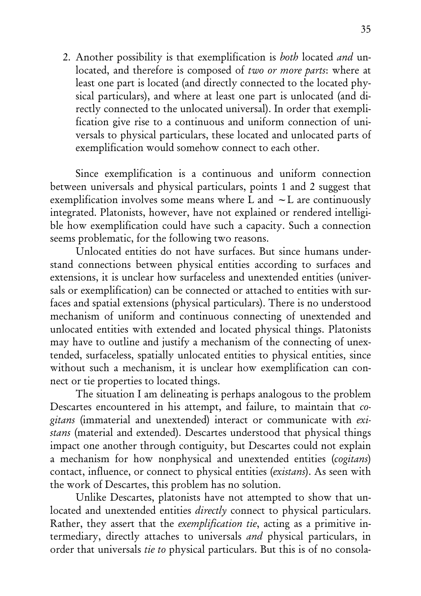2. Another possibility is that exemplification is both located and unlocated, and therefore is composed of two or more parts: where at least one part is located (and directly connected to the located physical particulars), and where at least one part is unlocated (and directly connected to the unlocated universal). In order that exemplification give rise to a continuous and uniform connection of universals to physical particulars, these located and unlocated parts of exemplification would somehow connect to each other.

Since exemplification is a continuous and uniform connection between universals and physical particulars, points 1 and 2 suggest that exemplification involves some means where L and  $\sim$  L are continuously integrated. Platonists, however, have not explained or rendered intelligible how exemplification could have such a capacity. Such a connection seems problematic, for the following two reasons.

Unlocated entities do not have surfaces. But since humans understand connections between physical entities according to surfaces and extensions, it is unclear how surfaceless and unextended entities (universals or exemplification) can be connected or attached to entities with surfaces and spatial extensions (physical particulars). There is no understood mechanism of uniform and continuous connecting of unextended and unlocated entities with extended and located physical things. Platonists may have to outline and justify a mechanism of the connecting of unextended, surfaceless, spatially unlocated entities to physical entities, since without such a mechanism, it is unclear how exemplification can connect or tie properties to located things.

The situation I am delineating is perhaps analogous to the problem Descartes encountered in his attempt, and failure, to maintain that cogitans (immaterial and unextended) interact or communicate with existans (material and extended). Descartes understood that physical things impact one another through contiguity, but Descartes could not explain a mechanism for how nonphysical and unextended entities (cogitans) contact, influence, or connect to physical entities (existans). As seen with the work of Descartes, this problem has no solution.

Unlike Descartes, platonists have not attempted to show that unlocated and unextended entities *directly* connect to physical particulars. Rather, they assert that the exemplification tie, acting as a primitive intermediary, directly attaches to universals and physical particulars, in order that universals tie to physical particulars. But this is of no consola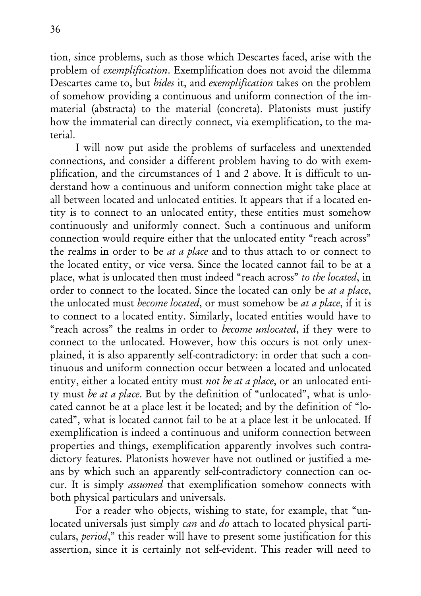tion, since problems, such as those which Descartes faced, arise with the problem of exemplification. Exemplification does not avoid the dilemma Descartes came to, but hides it, and exemplification takes on the problem of somehow providing a continuous and uniform connection of the immaterial (abstracta) to the material (concreta). Platonists must justify how the immaterial can directly connect, via exemplification, to the material.

I will now put aside the problems of surfaceless and unextended connections, and consider a different problem having to do with exemplification, and the circumstances of 1 and 2 above. It is difficult to understand how a continuous and uniform connection might take place at all between located and unlocated entities. It appears that if a located entity is to connect to an unlocated entity, these entities must somehow continuously and uniformly connect. Such a continuous and uniform connection would require either that the unlocated entity "reach across" the realms in order to be at a place and to thus attach to or connect to the located entity, or vice versa. Since the located cannot fail to be at a place, what is unlocated then must indeed "reach across" to the located, in order to connect to the located. Since the located can only be *at a place*, the unlocated must become located, or must somehow be at a place, if it is to connect to a located entity. Similarly, located entities would have to "reach across" the realms in order to become unlocated, if they were to connect to the unlocated. However, how this occurs is not only unexplained, it is also apparently self-contradictory: in order that such a continuous and uniform connection occur between a located and unlocated entity, either a located entity must not be at a place, or an unlocated entity must be at a place. But by the definition of "unlocated", what is unlocated cannot be at a place lest it be located; and by the definition of "located", what is located cannot fail to be at a place lest it be unlocated. If exemplification is indeed a continuous and uniform connection between properties and things, exemplification apparently involves such contradictory features. Platonists however have not outlined or justified a means by which such an apparently self-contradictory connection can occur. It is simply assumed that exemplification somehow connects with both physical particulars and universals.

For a reader who objects, wishing to state, for example, that "unlocated universals just simply can and do attach to located physical particulars, period," this reader will have to present some justification for this assertion, since it is certainly not self-evident. This reader will need to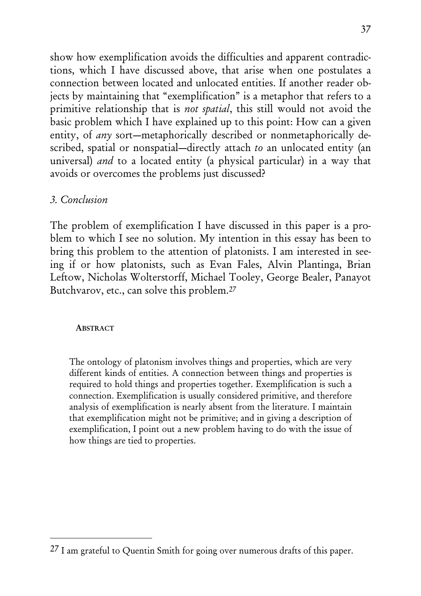show how exemplification avoids the difficulties and apparent contradictions, which I have discussed above, that arise when one postulates a connection between located and unlocated entities. If another reader objects by maintaining that "exemplification" is a metaphor that refers to a primitive relationship that is not spatial, this still would not avoid the basic problem which I have explained up to this point: How can a given entity, of *any* sort—metaphorically described or nonmetaphorically described, spatial or nonspatial—directly attach to an unlocated entity (an universal) and to a located entity (a physical particular) in a way that avoids or overcomes the problems just discussed?

# 3. Conclusion

The problem of exemplification I have discussed in this paper is a problem to which I see no solution. My intention in this essay has been to bring this problem to the attention of platonists. I am interested in seeing if or how platonists, such as Evan Fales, Alvin Plantinga, Brian Leftow, Nicholas Wolterstorff, Michael Tooley, George Bealer, Panayot Butchvarov, etc., can solve this problem.27

#### ABSTRACT

The ontology of platonism involves things and properties, which are very different kinds of entities. A connection between things and properties is required to hold things and properties together. Exemplification is such a connection. Exemplification is usually considered primitive, and therefore analysis of exemplification is nearly absent from the literature. I maintain that exemplification might not be primitive; and in giving a description of exemplification, I point out a new problem having to do with the issue of how things are tied to properties.

<sup>27</sup> I am grateful to Quentin Smith for going over numerous drafts of this paper.